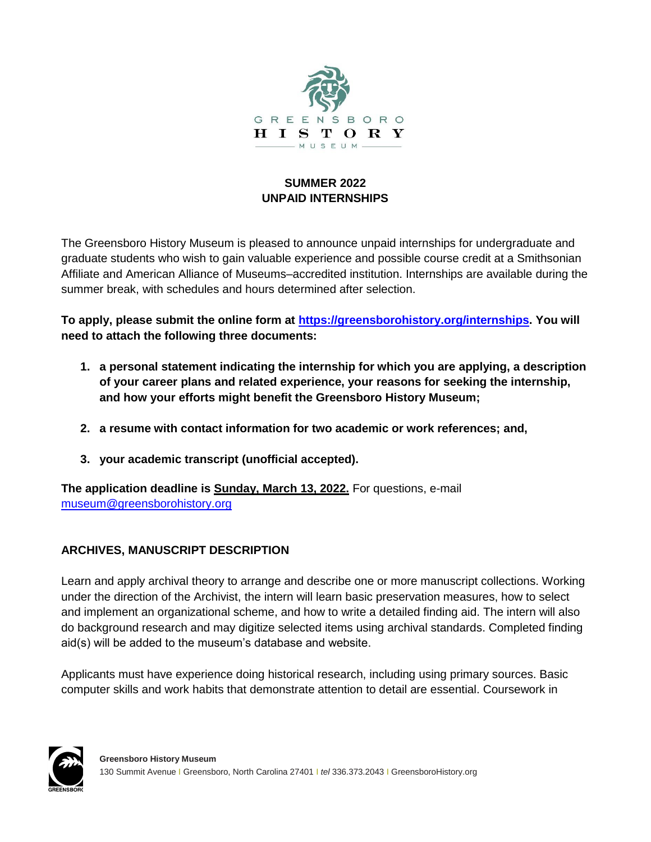

## **SUMMER 2022 UNPAID INTERNSHIPS**

The Greensboro History Museum is pleased to announce unpaid internships for undergraduate and graduate students who wish to gain valuable experience and possible course credit at a Smithsonian Affiliate and American Alliance of Museums–accredited institution. Internships are available during the summer break, with schedules and hours determined after selection.

**To apply, please submit the online form at [https://greensborohistory.org/internships.](https://greensborohistory.org/internships) You will need to attach the following three documents:**

- **1. a personal statement indicating the internship for which you are applying, a description of your career plans and related experience, your reasons for seeking the internship, and how your efforts might benefit the Greensboro History Museum;**
- **2. a resume with contact information for two academic or work references; and,**
- **3. your academic transcript (unofficial accepted).**

**The application deadline is Sunday, March 13, 2022.** For questions, e-mail [museum@greensborohistory.org](mailto:museum@greensborohistory.org)

## **ARCHIVES, MANUSCRIPT DESCRIPTION**

Learn and apply archival theory to arrange and describe one or more manuscript collections. Working under the direction of the Archivist, the intern will learn basic preservation measures, how to select and implement an organizational scheme, and how to write a detailed finding aid. The intern will also do background research and may digitize selected items using archival standards. Completed finding aid(s) will be added to the museum's database and website.

Applicants must have experience doing historical research, including using primary sources. Basic computer skills and work habits that demonstrate attention to detail are essential. Coursework in